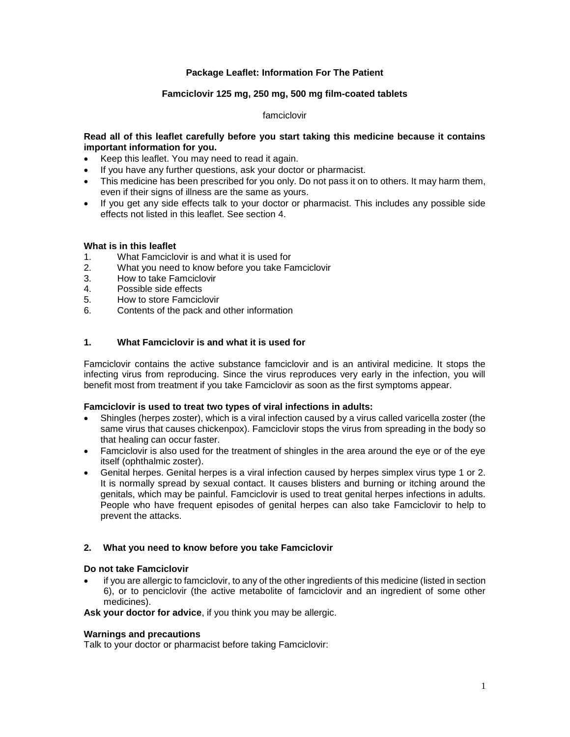# **Package Leaflet: Information For The Patient**

## **Famciclovir 125 mg, 250 mg, 500 mg film-coated tablets**

## famciclovir

## **Read all of this leaflet carefully before you start taking this medicine because it contains important information for you.**

- Keep this leaflet. You may need to read it again.
- If you have any further questions, ask your doctor or pharmacist.
- This medicine has been prescribed for you only. Do not pass it on to others. It may harm them, even if their signs of illness are the same as yours.
- If you get any side effects talk to your doctor or pharmacist. This includes any possible side effects not listed in this leaflet. See section 4.

## **What is in this leaflet**

- 1. What Famciclovir is and what it is used for
- 2. What you need to know before you take Famciclovir
- 3. How to take Famciclovir
- 4. Possible side effects
- 5. How to store Famciclovir
- 6. Contents of the pack and other information

## **1. What Famciclovir is and what it is used for**

Famciclovir contains the active substance famciclovir and is an antiviral medicine. It stops the infecting virus from reproducing. Since the virus reproduces very early in the infection, you will benefit most from treatment if you take Famciclovir as soon as the first symptoms appear.

## **Famciclovir is used to treat two types of viral infections in adults:**

- Shingles (herpes zoster), which is a viral infection caused by a virus called varicella zoster (the same virus that causes chickenpox). Famciclovir stops the virus from spreading in the body so that healing can occur faster.
- Famciclovir is also used for the treatment of shingles in the area around the eye or of the eye itself (ophthalmic zoster).
- Genital herpes. Genital herpes is a viral infection caused by herpes simplex virus type 1 or 2. It is normally spread by sexual contact. It causes blisters and burning or itching around the genitals, which may be painful. Famciclovir is used to treat genital herpes infections in adults. People who have frequent episodes of genital herpes can also take Famciclovir to help to prevent the attacks.

## **2. What you need to know before you take Famciclovir**

## **Do not take Famciclovir**

• if you are allergic to famciclovir, to any of the other ingredients of this medicine (listed in section 6), or to penciclovir (the active metabolite of famciclovir and an ingredient of some other medicines).

**Ask your doctor for advice**, if you think you may be allergic.

## **Warnings and precautions**

Talk to your doctor or pharmacist before taking Famciclovir: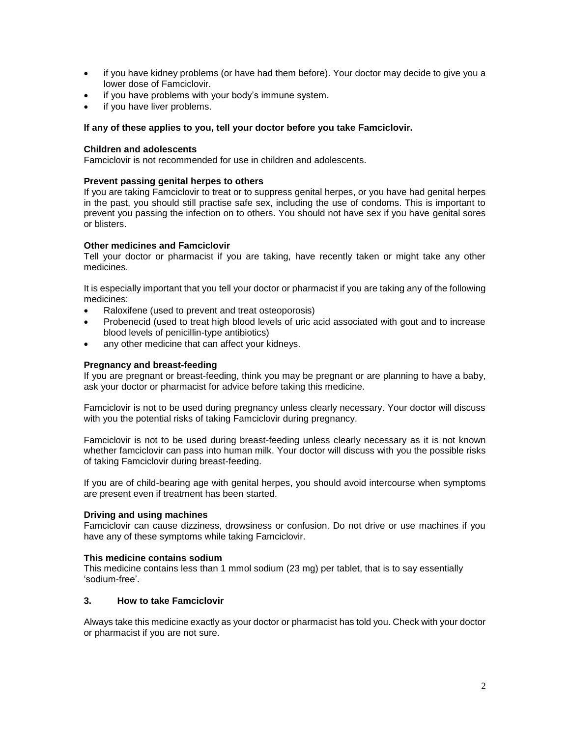- if you have kidney problems (or have had them before). Your doctor may decide to give you a lower dose of Famciclovir.
- if you have problems with your body's immune system.
- if you have liver problems.

## **If any of these applies to you, tell your doctor before you take Famciclovir.**

## **Children and adolescents**

Famciclovir is not recommended for use in children and adolescents.

### **Prevent passing genital herpes to others**

If you are taking Famciclovir to treat or to suppress genital herpes, or you have had genital herpes in the past, you should still practise safe sex, including the use of condoms. This is important to prevent you passing the infection on to others. You should not have sex if you have genital sores or blisters.

### **Other medicines and Famciclovir**

Tell your doctor or pharmacist if you are taking, have recently taken or might take any other medicines.

It is especially important that you tell your doctor or pharmacist if you are taking any of the following medicines:

- Raloxifene (used to prevent and treat osteoporosis)
- Probenecid (used to treat high blood levels of uric acid associated with gout and to increase blood levels of penicillin-type antibiotics)
- any other medicine that can affect your kidneys.

## **Pregnancy and breast-feeding**

If you are pregnant or breast-feeding, think you may be pregnant or are planning to have a baby, ask your doctor or pharmacist for advice before taking this medicine.

Famciclovir is not to be used during pregnancy unless clearly necessary. Your doctor will discuss with you the potential risks of taking Famciclovir during pregnancy.

Famciclovir is not to be used during breast-feeding unless clearly necessary as it is not known whether famciclovir can pass into human milk. Your doctor will discuss with you the possible risks of taking Famciclovir during breast-feeding.

If you are of child-bearing age with genital herpes, you should avoid intercourse when symptoms are present even if treatment has been started.

#### **Driving and using machines**

Famciclovir can cause dizziness, drowsiness or confusion. Do not drive or use machines if you have any of these symptoms while taking Famciclovir.

#### **This medicine contains sodium**

This medicine contains less than 1 mmol sodium (23 mg) per tablet, that is to say essentially 'sodium-free'.

# **3. How to take Famciclovir**

Always take this medicine exactly as your doctor or pharmacist has told you. Check with your doctor or pharmacist if you are not sure.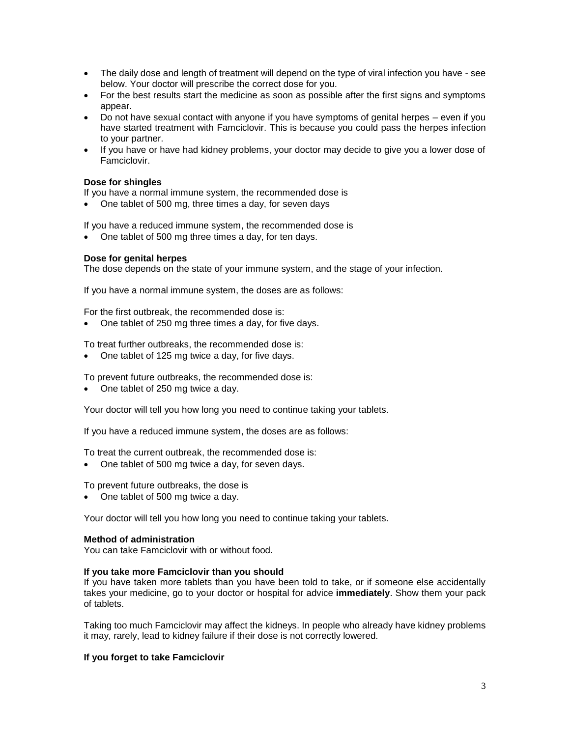- The daily dose and length of treatment will depend on the type of viral infection you have see below. Your doctor will prescribe the correct dose for you.
- For the best results start the medicine as soon as possible after the first signs and symptoms appear.
- Do not have sexual contact with anyone if you have symptoms of genital herpes even if you have started treatment with Famciclovir. This is because you could pass the herpes infection to your partner.
- If you have or have had kidney problems, your doctor may decide to give you a lower dose of Famciclovir.

### **Dose for shingles**

If you have a normal immune system, the recommended dose is

• One tablet of 500 mg, three times a day, for seven days

If you have a reduced immune system, the recommended dose is

• One tablet of 500 mg three times a day, for ten days.

### **Dose for genital herpes**

The dose depends on the state of your immune system, and the stage of your infection.

If you have a normal immune system, the doses are as follows:

For the first outbreak, the recommended dose is:

• One tablet of 250 mg three times a day, for five days.

To treat further outbreaks, the recommended dose is:

• One tablet of 125 mg twice a day, for five days.

To prevent future outbreaks, the recommended dose is:

• One tablet of 250 mg twice a day.

Your doctor will tell you how long you need to continue taking your tablets.

If you have a reduced immune system, the doses are as follows:

To treat the current outbreak, the recommended dose is:

• One tablet of 500 mg twice a day, for seven days.

To prevent future outbreaks, the dose is

• One tablet of 500 mg twice a day.

Your doctor will tell you how long you need to continue taking your tablets.

#### **Method of administration**

You can take Famciclovir with or without food.

#### **If you take more Famciclovir than you should**

If you have taken more tablets than you have been told to take, or if someone else accidentally takes your medicine, go to your doctor or hospital for advice **immediately**. Show them your pack of tablets.

Taking too much Famciclovir may affect the kidneys. In people who already have kidney problems it may, rarely, lead to kidney failure if their dose is not correctly lowered.

## **If you forget to take Famciclovir**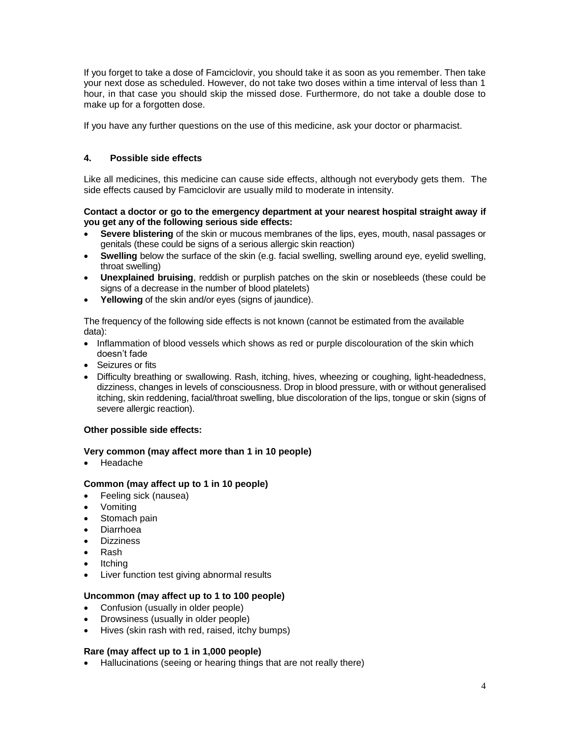If you forget to take a dose of Famciclovir, you should take it as soon as you remember. Then take your next dose as scheduled. However, do not take two doses within a time interval of less than 1 hour, in that case you should skip the missed dose. Furthermore, do not take a double dose to make up for a forgotten dose.

If you have any further questions on the use of this medicine, ask your doctor or pharmacist.

# **4. Possible side effects**

Like all medicines, this medicine can cause side effects, although not everybody gets them. The side effects caused by Famciclovir are usually mild to moderate in intensity.

## **Contact a doctor or go to the emergency department at your nearest hospital straight away if you get any of the following serious side effects:**

- **Severe blistering** of the skin or mucous membranes of the lips, eyes, mouth, nasal passages or genitals (these could be signs of a serious allergic skin reaction)
- **Swelling** below the surface of the skin (e.g. facial swelling, swelling around eye, eyelid swelling, throat swelling)
- **Unexplained bruising**, reddish or purplish patches on the skin or nosebleeds (these could be signs of a decrease in the number of blood platelets)
- **Yellowing** of the skin and/or eyes (signs of jaundice).

The frequency of the following side effects is not known (cannot be estimated from the available data):

- Inflammation of blood vessels which shows as red or purple discolouration of the skin which doesn't fade
- Seizures or fits
- Difficulty breathing or swallowing. Rash, itching, hives, wheezing or coughing, light-headedness, dizziness, changes in levels of consciousness. Drop in blood pressure, with or without generalised itching, skin reddening, facial/throat swelling, blue discoloration of the lips, tongue or skin (signs of severe allergic reaction).

## **Other possible side effects:**

## **Very common (may affect more than 1 in 10 people)**

• Headache

## **Common (may affect up to 1 in 10 people)**

- Feeling sick (nausea)
- Vomiting
- Stomach pain
- Diarrhoea
- **Dizziness**
- Rash
- **Itching**
- Liver function test giving abnormal results

# **Uncommon (may affect up to 1 to 100 people)**

- Confusion (usually in older people)
- Drowsiness (usually in older people)
- Hives (skin rash with red, raised, itchy bumps)

## **Rare (may affect up to 1 in 1,000 people)**

• Hallucinations (seeing or hearing things that are not really there)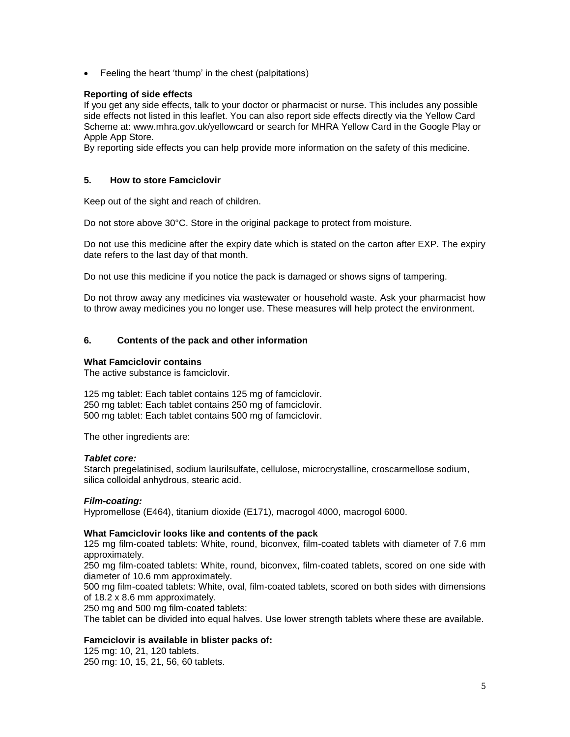• Feeling the heart 'thump' in the chest (palpitations)

## **Reporting of side effects**

If you get any side effects, talk to your doctor or pharmacist or nurse. This includes any possible side effects not listed in this leaflet. You can also report side effects directly via the Yellow Card Scheme at: [www.mhra.gov.uk/yellowcard](http://www.mhra.gov.uk/yellowcard) or search for MHRA Yellow Card in the Google Play or Apple App Store.

By reporting side effects you can help provide more information on the safety of this medicine.

## **5. How to store Famciclovir**

Keep out of the sight and reach of children.

Do not store above 30°C. Store in the original package to protect from moisture.

Do not use this medicine after the expiry date which is stated on the carton after EXP. The expiry date refers to the last day of that month.

Do not use this medicine if you notice the pack is damaged or shows signs of tampering.

Do not throw away any medicines via wastewater or household waste. Ask your pharmacist how to throw away medicines you no longer use. These measures will help protect the environment.

## **6. Contents of the pack and other information**

## **What Famciclovir contains**

The active substance is famciclovir.

125 mg tablet: Each tablet contains 125 mg of famciclovir. 250 mg tablet: Each tablet contains 250 mg of famciclovir. 500 mg tablet: Each tablet contains 500 mg of famciclovir.

The other ingredients are:

## *Tablet core:*

Starch pregelatinised, sodium laurilsulfate, cellulose, microcrystalline, croscarmellose sodium, silica colloidal anhydrous, stearic acid.

## *Film-coating:*

Hypromellose (E464), titanium dioxide (E171), macrogol 4000, macrogol 6000.

## **What Famciclovir looks like and contents of the pack**

125 mg film-coated tablets: White, round, biconvex, film-coated tablets with diameter of 7.6 mm approximately.

250 mg film-coated tablets: White, round, biconvex, film-coated tablets, scored on one side with diameter of 10.6 mm approximately.

500 mg film-coated tablets: White, oval, film-coated tablets, scored on both sides with dimensions of 18.2 x 8.6 mm approximately.

250 mg and 500 mg film-coated tablets:

The tablet can be divided into equal halves. Use lower strength tablets where these are available.

## **Famciclovir is available in blister packs of:**

125 mg: 10, 21, 120 tablets. 250 mg: 10, 15, 21, 56, 60 tablets.